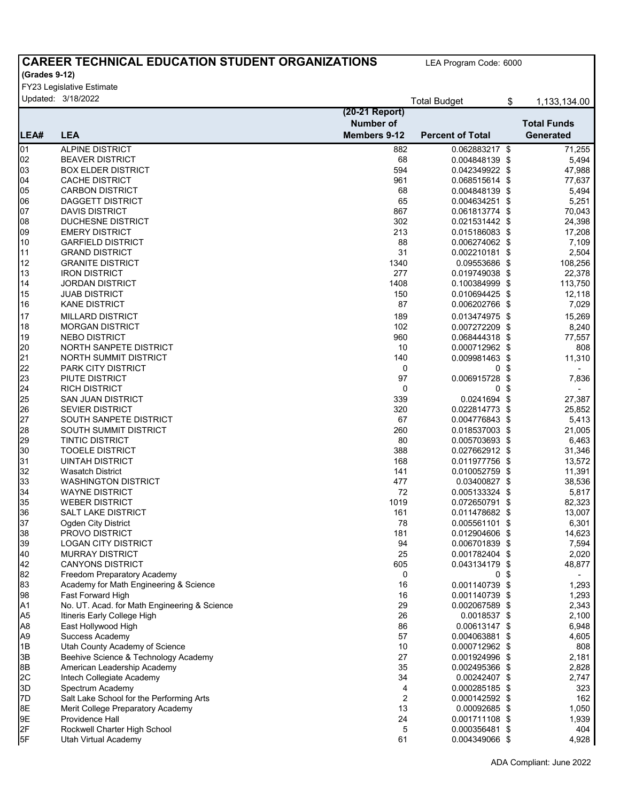## **CAREER TECHNICAL EDUCATION STUDENT ORGANIZATIONS**

LEA Program Code: 6000

## **(Grades 9-12)**

FY23 Legislative Estimate

|                 | Updated: 3/18/2022                           |                     | <b>Total Budget</b>     | \$   | 1,133,134.00             |
|-----------------|----------------------------------------------|---------------------|-------------------------|------|--------------------------|
|                 |                                              | (20-21 Report)      |                         |      |                          |
|                 |                                              | <b>Number of</b>    |                         |      | <b>Total Funds</b>       |
| ILEA#           | <b>LEA</b>                                   | <b>Members 9-12</b> | <b>Percent of Total</b> |      | <b>Generated</b>         |
| $\overline{01}$ | <b>ALPINE DISTRICT</b>                       | 882                 | 0.062883217 \$          |      | 71,255                   |
| 02              | <b>BEAVER DISTRICT</b>                       | 68                  | 0.004848139 \$          |      | 5,494                    |
| 03              | <b>BOX ELDER DISTRICT</b>                    | 594                 | 0.042349922 \$          |      | 47,988                   |
| 04              | <b>CACHE DISTRICT</b>                        | 961                 | 0.068515614 \$          |      | 77,637                   |
| 05              | <b>CARBON DISTRICT</b>                       | 68                  | 0.004848139 \$          |      | 5,494                    |
| 06              | <b>DAGGETT DISTRICT</b>                      | 65                  | 0.004634251 \$          |      | 5,251                    |
| 07              | <b>DAVIS DISTRICT</b>                        | 867                 | 0.061813774 \$          |      | 70,043                   |
| 08              | <b>DUCHESNE DISTRICT</b>                     | 302                 | 0.021531442 \$          |      | 24,398                   |
| 09              | <b>EMERY DISTRICT</b>                        | 213                 | 0.015186083 \$          |      | 17,208                   |
| 10              | <b>GARFIELD DISTRICT</b>                     | 88                  | 0.006274062 \$          |      | 7,109                    |
| 11              | <b>GRAND DISTRICT</b>                        | 31                  | 0.002210181 \$          |      | 2,504                    |
| 12              | <b>GRANITE DISTRICT</b>                      | 1340                | 0.09553686 \$           |      | 108,256                  |
| 13              | <b>IRON DISTRICT</b>                         | 277                 | 0.019749038 \$          |      | 22,378                   |
| 14              | <b>JORDAN DISTRICT</b>                       | 1408                | 0.100384999 \$          |      | 113,750                  |
| 15              | <b>JUAB DISTRICT</b>                         | 150                 | 0.010694425 \$          |      | 12,118                   |
| 16              | <b>KANE DISTRICT</b>                         | 87                  | 0.006202766 \$          |      | 7,029                    |
|                 | <b>MILLARD DISTRICT</b>                      | 189                 | 0.013474975 \$          |      |                          |
| 17              |                                              |                     |                         |      | 15,269                   |
| 18              | <b>MORGAN DISTRICT</b>                       | 102                 | 0.007272209 \$          |      | 8,240                    |
| 19              | <b>NEBO DISTRICT</b>                         | 960                 | 0.068444318 \$          |      | 77,557                   |
| 20              | NORTH SANPETE DISTRICT                       | 10                  | 0.000712962 \$          |      | 808                      |
| 21              | NORTH SUMMIT DISTRICT                        | 140                 | 0.009981463 \$          |      | 11,310                   |
| 22              | PARK CITY DISTRICT                           | 0                   | 0 <sup>5</sup>          |      |                          |
| 23              | PIUTE DISTRICT                               | 97                  | 0.006915728             | -\$  | 7,836                    |
| 24              | <b>RICH DISTRICT</b>                         | 0                   | 0                       | - \$ | $\overline{\phantom{a}}$ |
| 25              | <b>SAN JUAN DISTRICT</b>                     | 339                 | 0.0241694 \$            |      | 27,387                   |
| 26              | <b>SEVIER DISTRICT</b>                       | 320                 | 0.022814773 \$          |      | 25,852                   |
| 27              | SOUTH SANPETE DISTRICT                       | 67                  | 0.004776843 \$          |      | 5,413                    |
| 28              | SOUTH SUMMIT DISTRICT                        | 260                 | 0.018537003 \$          |      | 21,005                   |
| 29              | <b>TINTIC DISTRICT</b>                       | 80                  | 0.005703693 \$          |      | 6,463                    |
| 30              | <b>TOOELE DISTRICT</b>                       | 388                 | 0.027662912 \$          |      | 31,346                   |
| 31              | <b>UINTAH DISTRICT</b>                       | 168                 | 0.011977756 \$          |      | 13,572                   |
| 32              | <b>Wasatch District</b>                      | 141                 | 0.010052759 \$          |      | 11,391                   |
| 33              | <b>WASHINGTON DISTRICT</b>                   | 477                 | 0.03400827 \$           |      | 38,536                   |
| 34              | <b>WAYNE DISTRICT</b>                        | 72                  | 0.005133324 \$          |      | 5,817                    |
| 35              | <b>WEBER DISTRICT</b>                        | 1019                | 0.072650791 \$          |      | 82,323                   |
| 36              | <b>SALT LAKE DISTRICT</b>                    | 161                 | 0.011478682 \$          |      | 13,007                   |
| 37              | <b>Ogden City District</b>                   | 78                  | 0.005561101 \$          |      | 6,301                    |
| 38              | PROVO DISTRICT                               | 181                 | 0.012904606 \$          |      | 14,623                   |
| 39              | <b>LOGAN CITY DISTRICT</b>                   | 94                  | 0.006701839 \$          |      | 7,594                    |
| 40              | <b>MURRAY DISTRICT</b>                       | 25                  | 0.001782404 \$          |      | 2,020                    |
| 42<br>82        | <b>CANYONS DISTRICT</b>                      | 605                 | 0.043134179 \$          |      | 48,877                   |
|                 | Freedom Preparatory Academy                  | 0                   | 0\$                     |      |                          |
| 83              | Academy for Math Engineering & Science       | 16                  | 0.001140739 \$          |      | 1,293                    |
| 98              | Fast Forward High                            | 16                  | 0.001140739 \$          |      | 1,293                    |
| A1              | No. UT. Acad. for Math Engineering & Science | 29                  | 0.002067589 \$          |      | 2,343                    |
| A <sub>5</sub>  | Itineris Early College High                  | 26                  | 0.0018537 \$            |      | 2,100                    |
| A <sub>8</sub>  | East Hollywood High                          | 86                  | 0.00613147 \$           |      | 6,948                    |
| A <sub>9</sub>  | Success Academy                              | 57                  | 0.004063881 \$          |      | 4,605                    |
| 1B              | Utah County Academy of Science               | 10                  | 0.000712962 \$          |      | 808                      |
| 3B              | Beehive Science & Technology Academy         | 27                  | 0.001924996 \$          |      | 2,181                    |
| 8B              | American Leadership Academy                  | 35                  | 0.002495366 \$          |      | 2,828                    |
| 2C              | Intech Collegiate Academy                    | 34                  | 0.00242407 \$           |      | 2,747                    |
| 3D              | Spectrum Academy                             | 4                   | 0.000285185 \$          |      | 323                      |
| 7D              | Salt Lake School for the Performing Arts     | 2                   | 0.000142592 \$          |      | 162                      |
| 8E              | Merit College Preparatory Academy            | 13                  | 0.00092685 \$           |      | 1,050                    |
| 9E              | Providence Hall                              | 24                  | 0.001711108 \$          |      | 1,939                    |
| 2F              | Rockwell Charter High School                 | 5                   | 0.000356481 \$          |      | 404                      |
| 5F              | Utah Virtual Academy                         | 61                  | 0.004349066 \$          |      | 4,928                    |